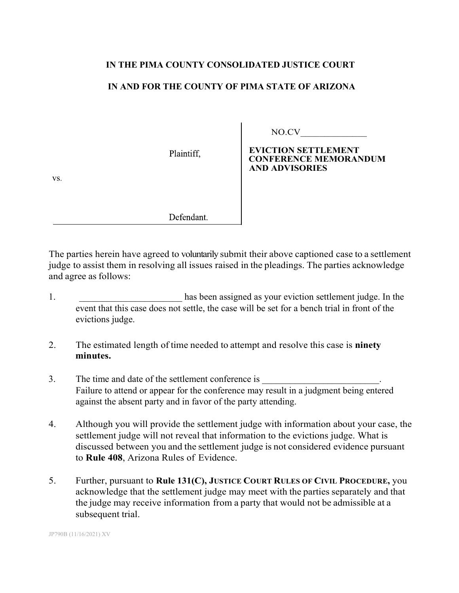## **IN THE PIMA COUNTY CONSOLIDATED JUSTICE COURT**

## **IN AND FOR THE COUNTY OF PIMA STATE OF ARIZONA**

Plaintiff.

NO.CV\_\_\_\_\_\_\_\_\_\_\_\_\_\_

## **EVICTION SETTLEMENT CONFERENCE MEMORANDUM AND ADVISORIES**

vs.

Defendant.

The parties herein have agreed to voluntarily submit their above captioned case to a settlement judge to assist them in resolving all issues raised in the pleadings. The parties acknowledge and agree as follows:

- 1. The contract of the basis of the settlement induced as your eviction settlement judge. In the event that this case does not settle, the case will be set for a bench trial in front of the evictions judge.
- 2. The estimated length of time needed to attempt and resolve this case is **ninety minutes.**
- 3. The time and date of the settlement conference is Failure to attend or appear for the conference may result in a judgment being entered against the absent party and in favor of the party attending.
- 4. Although you will provide the settlement judge with information about your case, the settlement judge will not reveal that information to the evictions judge. What is discussed between you and the settlement judge is not considered evidence pursuant to **Rule 408**, Arizona Rules of Evidence.
- 5. Further, pursuant to **Rule 131(C), JUSTICE COURT RULES OF CIVIL PROCEDURE,** you acknowledge that the settlement judge may meet with the parties separately and that the judge may receive information from a party that would not be admissible at a subsequent trial.

JP790B (11/16/2021) XV